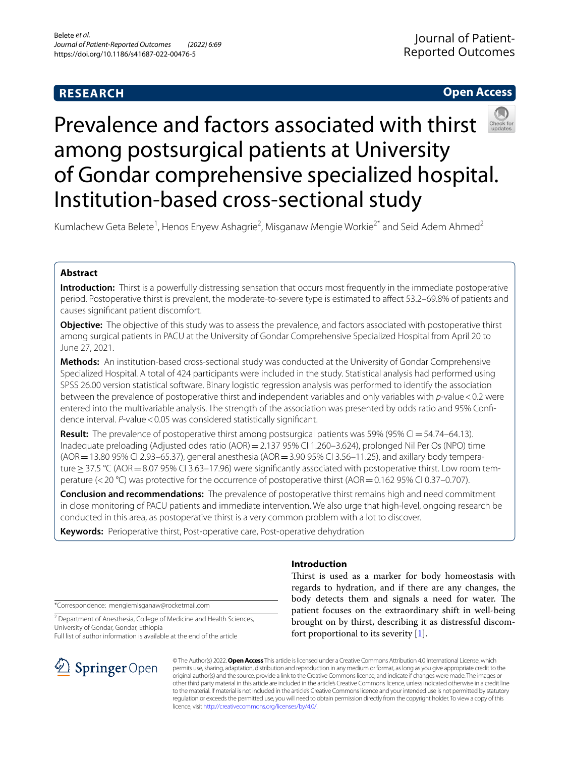# **RESEARCH**

# **Open Access**



# Prevalence and factors associated with thirst among postsurgical patients at University of Gondar comprehensive specialized hospital. Institution-based cross-sectional study

Kumlachew Geta Belete<sup>1</sup>, Henos Enyew Ashagrie<sup>2</sup>, Misganaw Mengie Workie<sup>2\*</sup> and Seid Adem Ahmed<sup>2</sup>

# **Abstract**

**Introduction:** Thirst is a powerfully distressing sensation that occurs most frequently in the immediate postoperative period. Postoperative thirst is prevalent, the moderate-to-severe type is estimated to afect 53.2–69.8% of patients and causes signifcant patient discomfort.

**Objective:** The objective of this study was to assess the prevalence, and factors associated with postoperative thirst among surgical patients in PACU at the University of Gondar Comprehensive Specialized Hospital from April 20 to June 27, 2021.

**Methods:** An institution-based cross-sectional study was conducted at the University of Gondar Comprehensive Specialized Hospital. A total of 424 participants were included in the study. Statistical analysis had performed using SPSS 26.00 version statistical software. Binary logistic regression analysis was performed to identify the association between the prevalence of postoperative thirst and independent variables and only variables with *p*-value<0.2 were entered into the multivariable analysis. The strength of the association was presented by odds ratio and 95% Confdence interval. *P*-value < 0.05 was considered statistically significant.

**Result:** The prevalence of postoperative thirst among postsurgical patients was 59% (95% CI=54.74–64.13). Inadequate preloading (Adjusted odes ratio (AOR) = 2.137 95% CI 1.260-3.624), prolonged Nil Per Os (NPO) time  $(AOR = 13.80 95\% \text{ CI } 2.93-65.37)$ , general anesthesia  $(AOR = 3.90 95\% \text{ CI } 3.56-11.25)$ , and axillary body temperature≥37.5 °C (AOR=8.07 95% CI 3.63–17.96) were signifcantly associated with postoperative thirst. Low room temperature (<20 °C) was protective for the occurrence of postoperative thirst (AOR = 0.162 95% CI 0.37–0.707).

**Conclusion and recommendations:** The prevalence of postoperative thirst remains high and need commitment in close monitoring of PACU patients and immediate intervention. We also urge that high-level, ongoing research be conducted in this area, as postoperative thirst is a very common problem with a lot to discover.

**Keywords:** Perioperative thirst, Post-operative care, Post-operative dehydration

## **Introduction**

\*Correspondence: mengiemisganaw@rocketmail.com

<sup>2</sup> Department of Anesthesia, College of Medicine and Health Sciences, University of Gondar, Gondar, Ethiopia

Full list of author information is available at the end of the article



Thirst is used as a marker for body homeostasis with regards to hydration, and if there are any changes, the body detects them and signals a need for water. The patient focuses on the extraordinary shift in well-being brought on by thirst, describing it as distressful discomfort proportional to its severity [\[1](#page-6-0)].

© The Author(s) 2022. **Open Access** This article is licensed under a Creative Commons Attribution 4.0 International License, which permits use, sharing, adaptation, distribution and reproduction in any medium or format, as long as you give appropriate credit to the original author(s) and the source, provide a link to the Creative Commons licence, and indicate if changes were made. The images or other third party material in this article are included in the article's Creative Commons licence, unless indicated otherwise in a credit line to the material. If material is not included in the article's Creative Commons licence and your intended use is not permitted by statutory regulation or exceeds the permitted use, you will need to obtain permission directly from the copyright holder. To view a copy of this licence, visit [http://creativecommons.org/licenses/by/4.0/.](http://creativecommons.org/licenses/by/4.0/)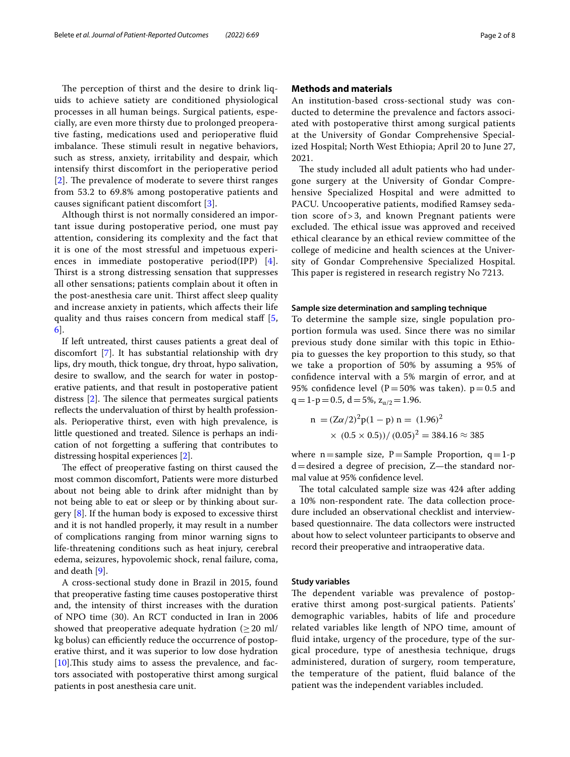The perception of thirst and the desire to drink liquids to achieve satiety are conditioned physiological processes in all human beings. Surgical patients, especially, are even more thirsty due to prolonged preoperative fasting, medications used and perioperative fuid imbalance. These stimuli result in negative behaviors, such as stress, anxiety, irritability and despair, which intensify thirst discomfort in the perioperative period [[2](#page-6-1)]. The prevalence of moderate to severe thirst ranges from 53.2 to 69.8% among postoperative patients and causes signifcant patient discomfort [\[3](#page-6-2)].

Although thirst is not normally considered an important issue during postoperative period, one must pay attention, considering its complexity and the fact that it is one of the most stressful and impetuous experiences in immediate postoperative period(IPP) [[4\]](#page-6-3). Thirst is a strong distressing sensation that suppresses all other sensations; patients complain about it often in the post-anesthesia care unit. Thirst affect sleep quality and increase anxiety in patients, which afects their life quality and thus raises concern from medical staff [\[5](#page-6-4), [6\]](#page-6-5).

If left untreated, thirst causes patients a great deal of discomfort [[7\]](#page-6-6). It has substantial relationship with dry lips, dry mouth, thick tongue, dry throat, hypo salivation, desire to swallow, and the search for water in postoperative patients, and that result in postoperative patient distress  $[2]$ . The silence that permeates surgical patients reflects the undervaluation of thirst by health professionals. Perioperative thirst, even with high prevalence, is little questioned and treated. Silence is perhaps an indication of not forgetting a sufering that contributes to distressing hospital experiences [\[2\]](#page-6-1).

The effect of preoperative fasting on thirst caused the most common discomfort, Patients were more disturbed about not being able to drink after midnight than by not being able to eat or sleep or by thinking about surgery [\[8](#page-6-7)]. If the human body is exposed to excessive thirst and it is not handled properly, it may result in a number of complications ranging from minor warning signs to life-threatening conditions such as heat injury, cerebral edema, seizures, hypovolemic shock, renal failure, coma, and death [\[9](#page-6-8)].

A cross-sectional study done in Brazil in 2015, found that preoperative fasting time causes postoperative thirst and, the intensity of thirst increases with the duration of NPO time (30). An RCT conducted in Iran in 2006 showed that preoperative adequate hydration  $(\geq 20 \text{ ml})$ kg bolus) can efficiently reduce the occurrence of postoperative thirst, and it was superior to low dose hydration  $[10]$  $[10]$ . This study aims to assess the prevalence, and factors associated with postoperative thirst among surgical patients in post anesthesia care unit.

#### **Methods and materials**

An institution-based cross-sectional study was conducted to determine the prevalence and factors associated with postoperative thirst among surgical patients at the University of Gondar Comprehensive Specialized Hospital; North West Ethiopia; April 20 to June 27, 2021.

The study included all adult patients who had undergone surgery at the University of Gondar Comprehensive Specialized Hospital and were admitted to PACU. Uncooperative patients, modifed Ramsey sedation score of > 3, and known Pregnant patients were excluded. The ethical issue was approved and received ethical clearance by an ethical review committee of the college of medicine and health sciences at the University of Gondar Comprehensive Specialized Hospital. This paper is registered in research registry No 7213.

#### **Sample size determination and sampling technique**

To determine the sample size, single population proportion formula was used. Since there was no similar previous study done similar with this topic in Ethiopia to guesses the key proportion to this study, so that we take a proportion of 50% by assuming a 95% of confdence interval with a 5% margin of error, and at 95% confidence level ( $P=50%$  was taken).  $p=0.5$  and q = 1-p = 0.5, d = 5%,  $z_{\alpha/2}$  = 1.96.

$$
n = (Z\alpha/2)^{2}p(1-p) n = (1.96)^{2}
$$
  
× (0.5 × 0.5))/ (0.05)<sup>2</sup> = 384.16 ≈ 385

where  $n=$  sample size,  $P=$  Sample Proportion,  $q=1-p$ d=desired a degree of precision, Z—the standard normal value at 95% confdence level.

The total calculated sample size was 424 after adding a 10% non-respondent rate. The data collection procedure included an observational checklist and interviewbased questionnaire. The data collectors were instructed about how to select volunteer participants to observe and record their preoperative and intraoperative data.

#### **Study variables**

The dependent variable was prevalence of postoperative thirst among post-surgical patients. Patients' demographic variables, habits of life and procedure related variables like length of NPO time, amount of fuid intake, urgency of the procedure, type of the surgical procedure, type of anesthesia technique, drugs administered, duration of surgery, room temperature, the temperature of the patient, fuid balance of the patient was the independent variables included.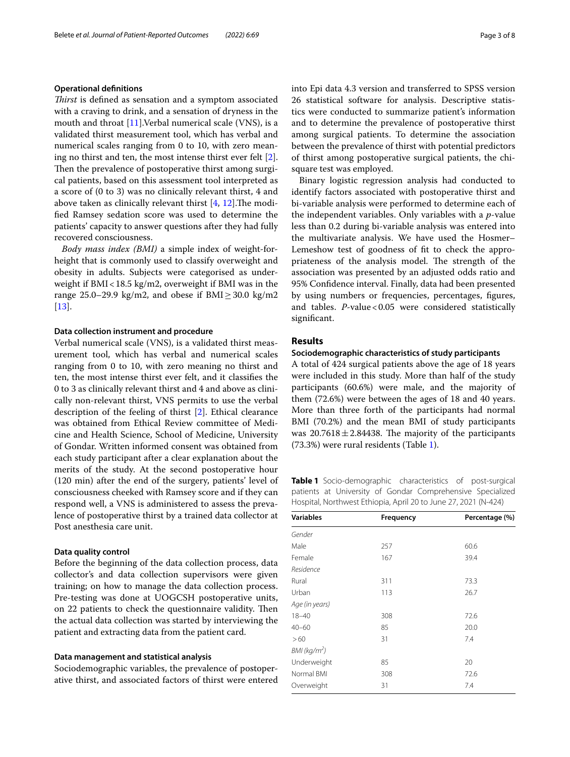#### **Operational defnitions**

*Tirst* is defned as sensation and a symptom associated with a craving to drink, and a sensation of dryness in the mouth and throat [\[11](#page-6-10)].Verbal numerical scale (VNS), is a validated thirst measurement tool, which has verbal and numerical scales ranging from 0 to 10, with zero meaning no thirst and ten, the most intense thirst ever felt [\[2](#page-6-1)]. Then the prevalence of postoperative thirst among surgical patients, based on this assessment tool interpreted as a score of (0 to 3) was no clinically relevant thirst, 4 and above taken as clinically relevant thirst  $[4, 12]$  $[4, 12]$  $[4, 12]$  $[4, 12]$ . The modifed Ramsey sedation score was used to determine the patients' capacity to answer questions after they had fully recovered consciousness.

*Body mass index (BMI)* a simple index of weight-forheight that is commonly used to classify overweight and obesity in adults. Subjects were categorised as underweight if  $BMI < 18.5$  kg/m2, overweight if BMI was in the range 25.0–29.9 kg/m2, and obese if BMI $\geq$ 30.0 kg/m2  $[13]$  $[13]$ .

#### **Data collection instrument and procedure**

Verbal numerical scale (VNS), is a validated thirst measurement tool, which has verbal and numerical scales ranging from 0 to 10, with zero meaning no thirst and ten, the most intense thirst ever felt, and it classifes the 0 to 3 as clinically relevant thirst and 4 and above as clinically non-relevant thirst, VNS permits to use the verbal description of the feeling of thirst [\[2](#page-6-1)]. Ethical clearance was obtained from Ethical Review committee of Medicine and Health Science, School of Medicine, University of Gondar. Written informed consent was obtained from each study participant after a clear explanation about the merits of the study. At the second postoperative hour (120 min) after the end of the surgery, patients' level of consciousness cheeked with Ramsey score and if they can respond well, a VNS is administered to assess the prevalence of postoperative thirst by a trained data collector at Post anesthesia care unit.

#### **Data quality control**

Before the beginning of the data collection process, data collector's and data collection supervisors were given training; on how to manage the data collection process. Pre-testing was done at UOGCSH postoperative units, on 22 patients to check the questionnaire validity. Then the actual data collection was started by interviewing the patient and extracting data from the patient card.

#### **Data management and statistical analysis**

Sociodemographic variables, the prevalence of postoperative thirst, and associated factors of thirst were entered into Epi data 4.3 version and transferred to SPSS version 26 statistical software for analysis. Descriptive statistics were conducted to summarize patient's information and to determine the prevalence of postoperative thirst among surgical patients. To determine the association between the prevalence of thirst with potential predictors of thirst among postoperative surgical patients, the chisquare test was employed.

Binary logistic regression analysis had conducted to identify factors associated with postoperative thirst and bi-variable analysis were performed to determine each of the independent variables. Only variables with a *p*-value less than 0.2 during bi-variable analysis was entered into the multivariate analysis. We have used the Hosmer– Lemeshow test of goodness of ft to check the appropriateness of the analysis model. The strength of the association was presented by an adjusted odds ratio and 95% Confdence interval. Finally, data had been presented by using numbers or frequencies, percentages, fgures, and tables. *P*-value < 0.05 were considered statistically signifcant.

#### **Results**

#### **Sociodemographic characteristics of study participants**

A total of 424 surgical patients above the age of 18 years were included in this study. More than half of the study participants (60.6%) were male, and the majority of them (72.6%) were between the ages of 18 and 40 years. More than three forth of the participants had normal BMI (70.2%) and the mean BMI of study participants was  $20.7618 \pm 2.84438$ . The majority of the participants (73.3%) were rural residents (Table [1](#page-2-0)).

<span id="page-2-0"></span>**Table 1** Socio-demographic characteristics of post-surgical patients at University of Gondar Comprehensive Specialized Hospital, Northwest Ethiopia, April 20 to June 27, 2021 (N-424)

| <b>Variables</b>         | Frequency | Percentage (%) |  |
|--------------------------|-----------|----------------|--|
| Gender                   |           |                |  |
| Male                     | 257       | 60.6           |  |
| Female                   | 167       | 39.4           |  |
| Residence                |           |                |  |
| Rural                    | 311       | 73.3           |  |
| Urban                    | 113       | 26.7           |  |
| Age (in years)           |           |                |  |
| $18 - 40$                | 308       | 72.6           |  |
| $40 - 60$                | 85        | 20.0           |  |
| >60                      | 31        | 7.4            |  |
| BMI (kg/m <sup>2</sup> ) |           |                |  |
| Underweight              | 85        | 20             |  |
| Normal BMI               | 308       | 72.6           |  |
| Overweight               | 31        | 7.4            |  |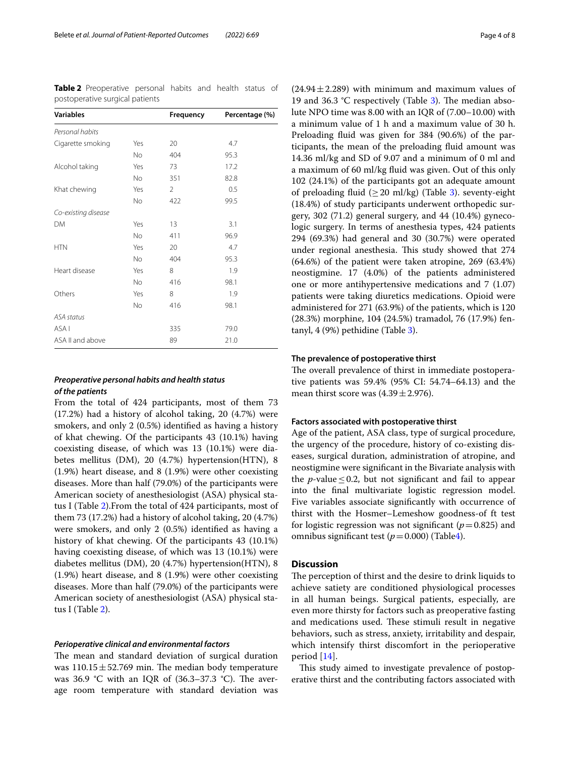<span id="page-3-0"></span>

|                                 | <b>Table 2</b> Preoperative personal habits and health status of |  |  |  |  |
|---------------------------------|------------------------------------------------------------------|--|--|--|--|
| postoperative surgical patients |                                                                  |  |  |  |  |

| <b>Variables</b>    |           | Frequency | Percentage (%) |
|---------------------|-----------|-----------|----------------|
| Personal habits     |           |           |                |
| Cigarette smoking   | Yes       | 20        | 4.7            |
|                     | <b>No</b> | 404       | 95.3           |
| Alcohol taking      | Yes       | 73        | 17.2           |
|                     | <b>No</b> | 351       | 82.8           |
| Khat chewing        | Yes       | 2         | 0.5            |
|                     | No        | 422       | 99.5           |
| Co-existing disease |           |           |                |
| DM                  | Yes       | 13        | 3.1            |
|                     | <b>No</b> | 411       | 96.9           |
| <b>HTN</b>          | Yes       | 20        | 4.7            |
|                     | <b>No</b> | 404       | 95.3           |
| Heart disease       | Yes       | 8         | 1.9            |
|                     | No        | 416       | 98.1           |
| Others              | Yes       | 8         | 1.9            |
|                     | No.       | 416       | 98.1           |
| ASA status          |           |           |                |
| ASA I               |           | 335       | 79.0           |
| ASA II and above    |           | 89        | 21.0           |

#### *Preoperative personal habits and health status of the patients*

From the total of 424 participants, most of them 73 (17.2%) had a history of alcohol taking, 20 (4.7%) were smokers, and only 2 (0.5%) identifed as having a history of khat chewing. Of the participants 43 (10.1%) having coexisting disease, of which was 13 (10.1%) were diabetes mellitus (DM), 20 (4.7%) hypertension(HTN), 8 (1.9%) heart disease, and 8 (1.9%) were other coexisting diseases. More than half (79.0%) of the participants were American society of anesthesiologist (ASA) physical status I (Table [2\)](#page-3-0).From the total of 424 participants, most of them 73 (17.2%) had a history of alcohol taking, 20 (4.7%) were smokers, and only 2 (0.5%) identifed as having a history of khat chewing. Of the participants 43 (10.1%) having coexisting disease, of which was 13 (10.1%) were diabetes mellitus (DM), 20 (4.7%) hypertension(HTN), 8 (1.9%) heart disease, and 8 (1.9%) were other coexisting diseases. More than half (79.0%) of the participants were American society of anesthesiologist (ASA) physical status I (Table [2\)](#page-3-0).

#### *Perioperative clinical and environmental factors*

The mean and standard deviation of surgical duration was  $110.15 \pm 52.769$  min. The median body temperature was 36.9  $\degree$ C with an IQR of (36.3–37.3  $\degree$ C). The average room temperature with standard deviation was  $(24.94 \pm 2.289)$  with minimum and maximum values of 19 and 36.3 °C respectively (Table  $3$ ). The median absolute NPO time was 8.00 with an IQR of (7.00–10.00) with a minimum value of 1 h and a maximum value of 30 h. Preloading fuid was given for 384 (90.6%) of the participants, the mean of the preloading fuid amount was

14.36 ml/kg and SD of 9.07 and a minimum of 0 ml and a maximum of 60 ml/kg fuid was given. Out of this only 102 (24.1%) of the participants got an adequate amount of preloading fluid  $(\geq 20 \text{ ml/kg})$  (Table [3](#page-4-0)). seventy-eight (18.4%) of study participants underwent orthopedic surgery, 302 (71.2) general surgery, and 44 (10.4%) gynecologic surgery. In terms of anesthesia types, 424 patients 294 (69.3%) had general and 30 (30.7%) were operated under regional anesthesia. This study showed that 274 (64.6%) of the patient were taken atropine, 269 (63.4%) neostigmine. 17 (4.0%) of the patients administered one or more antihypertensive medications and 7 (1.07) patients were taking diuretics medications. Opioid were administered for 271 (63.9%) of the patients, which is 120 (28.3%) morphine, 104 (24.5%) tramadol, 76 (17.9%) fentanyl, 4 (9%) pethidine (Table [3](#page-4-0)).

### **The prevalence of postoperative thirst**

The overall prevalence of thirst in immediate postoperative patients was 59.4% (95% CI: 54.74–64.13) and the mean thirst score was  $(4.39 \pm 2.976)$ .

### **Factors associated with postoperative thirst**

Age of the patient, ASA class, type of surgical procedure, the urgency of the procedure, history of co-existing diseases, surgical duration, administration of atropine, and neostigmine were signifcant in the Bivariate analysis with the *p*-value  $\leq$  0.2, but not significant and fail to appear into the fnal multivariate logistic regression model. Five variables associate signifcantly with occurrence of thirst with the Hosmer–Lemeshow goodness-of ft test for logistic regression was not significant ( $p=0.825$ ) and omnibus significant test  $(p=0.000)$  (Table[4\)](#page-5-0).

#### **Discussion**

The perception of thirst and the desire to drink liquids to achieve satiety are conditioned physiological processes in all human beings. Surgical patients, especially, are even more thirsty for factors such as preoperative fasting and medications used. These stimuli result in negative behaviors, such as stress, anxiety, irritability and despair, which intensify thirst discomfort in the perioperative period [\[14](#page-7-1)].

This study aimed to investigate prevalence of postoperative thirst and the contributing factors associated with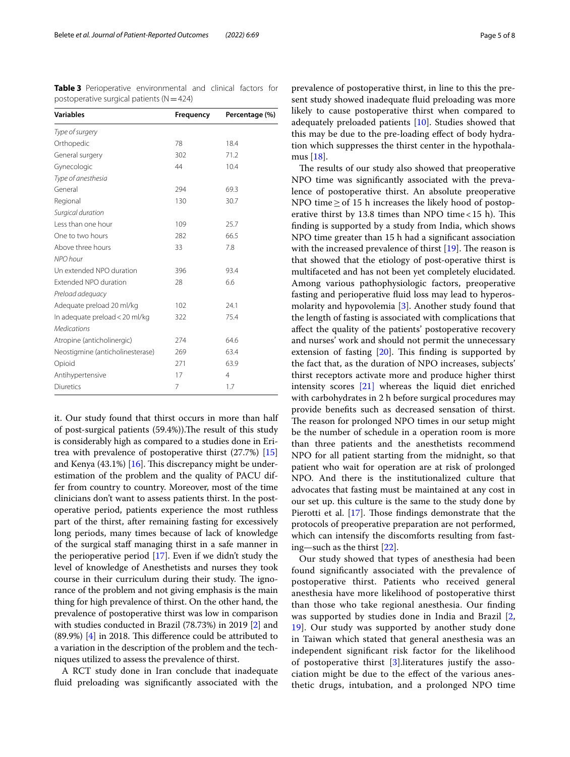<span id="page-4-0"></span>**Table 3** Perioperative environmental and clinical factors for postoperative surgical patients ( $N=424$ )

| <b>Variables</b>                 | Frequency | Percentage (%) |  |
|----------------------------------|-----------|----------------|--|
| Type of surgery                  |           |                |  |
| Orthopedic                       | 78        | 18.4           |  |
| General surgery                  | 302       | 71.2           |  |
| Gynecologic                      | 44        | 10.4           |  |
| Type of anesthesia               |           |                |  |
| General                          | 294       | 69.3           |  |
| Regional                         | 130       | 30.7           |  |
| Surgical duration                |           |                |  |
| Less than one hour               | 109       | 25.7           |  |
| One to two hours                 | 282       | 66.5           |  |
| Above three hours                | 33        | 7.8            |  |
| NPO hour                         |           |                |  |
| Un extended NPO duration         | 396       | 93.4           |  |
| Extended NPO duration            | 28        | 6.6            |  |
| Preload adequacy                 |           |                |  |
| Adequate preload 20 ml/kg        | 102       | 24.1           |  |
| In adequate preload < 20 ml/kg   | 322       | 75.4           |  |
| <b>Medications</b>               |           |                |  |
| Atropine (anticholinergic)       | 274       | 64.6           |  |
| Neostigmine (anticholinesterase) | 269       | 63.4           |  |
| Opioid                           | 271       | 63.9           |  |
| Antihypertensive                 | 17        | $\overline{4}$ |  |
| <b>Diuretics</b>                 | 7         | 1.7            |  |

it. Our study found that thirst occurs in more than half of post-surgical patients (59.4%)). The result of this study is considerably high as compared to a studies done in Eritrea with prevalence of postoperative thirst (27.7%) [[15](#page-7-2)] and Kenya  $(43.1\%)$  [\[16\]](#page-7-3). This discrepancy might be underestimation of the problem and the quality of PACU differ from country to country. Moreover, most of the time clinicians don't want to assess patients thirst. In the postoperative period, patients experience the most ruthless part of the thirst, after remaining fasting for excessively long periods, many times because of lack of knowledge of the surgical staf managing thirst in a safe manner in the perioperative period [\[17](#page-7-4)]. Even if we didn't study the level of knowledge of Anesthetists and nurses they took course in their curriculum during their study. The ignorance of the problem and not giving emphasis is the main thing for high prevalence of thirst. On the other hand, the prevalence of postoperative thirst was low in comparison with studies conducted in Brazil (78.73%) in 2019 [[2\]](#page-6-1) and  $(89.9%)$   $[4]$  $[4]$  $[4]$  in 2018. This difference could be attributed to a variation in the description of the problem and the techniques utilized to assess the prevalence of thirst.

A RCT study done in Iran conclude that inadequate fuid preloading was signifcantly associated with the

prevalence of postoperative thirst, in line to this the present study showed inadequate fuid preloading was more likely to cause postoperative thirst when compared to adequately preloaded patients [[10\]](#page-6-9). Studies showed that this may be due to the pre-loading efect of body hydration which suppresses the thirst center in the hypothalamus [[18](#page-7-5)].

The results of our study also showed that preoperative NPO time was signifcantly associated with the prevalence of postoperative thirst. An absolute preoperative NPO time≥of 15 h increases the likely hood of postoperative thirst by 13.8 times than NPO time <  $15$  h). This fnding is supported by a study from India, which shows NPO time greater than 15 h had a signifcant association with the increased prevalence of thirst  $[19]$  $[19]$ . The reason is that showed that the etiology of post-operative thirst is multifaceted and has not been yet completely elucidated. Among various pathophysiologic factors, preoperative fasting and perioperative fuid loss may lead to hyperosmolarity and hypovolemia [\[3](#page-6-2)]. Another study found that the length of fasting is associated with complications that afect the quality of the patients' postoperative recovery and nurses' work and should not permit the unnecessary extension of fasting  $[20]$  $[20]$ . This finding is supported by the fact that, as the duration of NPO increases, subjects' thirst receptors activate more and produce higher thirst intensity scores [\[21\]](#page-7-8) whereas the liquid diet enriched with carbohydrates in 2 h before surgical procedures may provide benefts such as decreased sensation of thirst. The reason for prolonged NPO times in our setup might be the number of schedule in a operation room is more than three patients and the anesthetists recommend NPO for all patient starting from the midnight, so that patient who wait for operation are at risk of prolonged NPO. And there is the institutionalized culture that advocates that fasting must be maintained at any cost in our set up. this culture is the same to the study done by Pierotti et al. [[17\]](#page-7-4). Those findings demonstrate that the protocols of preoperative preparation are not performed, which can intensify the discomforts resulting from fasting—such as the thirst [\[22](#page-7-9)].

Our study showed that types of anesthesia had been found signifcantly associated with the prevalence of postoperative thirst. Patients who received general anesthesia have more likelihood of postoperative thirst than those who take regional anesthesia. Our fnding was supported by studies done in India and Brazil [\[2](#page-6-1), [19\]](#page-7-6). Our study was supported by another study done in Taiwan which stated that general anesthesia was an independent signifcant risk factor for the likelihood of postoperative thirst [\[3](#page-6-2)].literatures justify the association might be due to the efect of the various anesthetic drugs, intubation, and a prolonged NPO time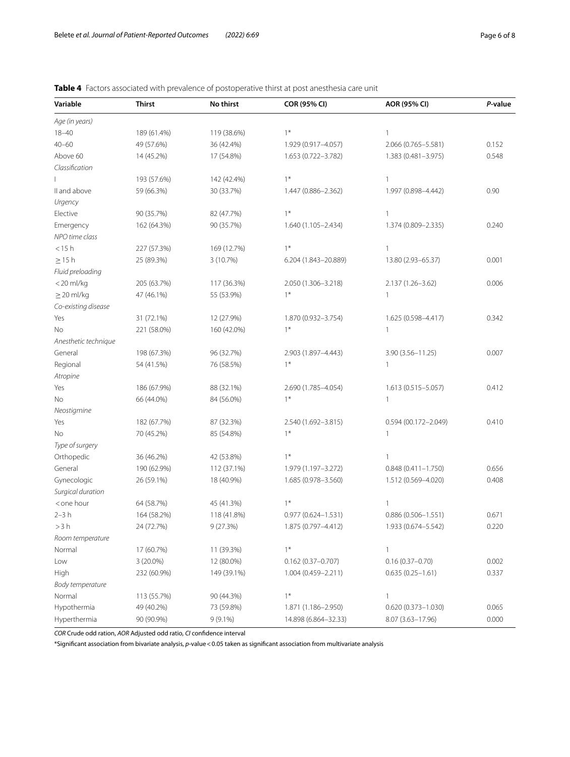# <span id="page-5-0"></span>**Table 4** Factors associated with prevalence of postoperative thirst at post anesthesia care unit

| Variable                                                                                                    | <b>Thirst</b> | No thirst   | COR (95% CI)           | AOR (95% CI)           | P-value |
|-------------------------------------------------------------------------------------------------------------|---------------|-------------|------------------------|------------------------|---------|
| Age (in years)                                                                                              |               |             |                        |                        |         |
| $18 - 40$                                                                                                   | 189 (61.4%)   | 119 (38.6%) | $1*$                   | $\mathbf{1}$           |         |
| $40 - 60$                                                                                                   | 49 (57.6%)    | 36 (42.4%)  | 1.929 (0.917-4.057)    | 2.066 (0.765-5.581)    | 0.152   |
| Above 60                                                                                                    | 14 (45.2%)    | 17 (54.8%)  | 1.653 (0.722-3.782)    | 1.383 (0.481-3.975)    | 0.548   |
| Classification                                                                                              |               |             |                        |                        |         |
|                                                                                                             | 193 (57.6%)   | 142 (42.4%) | $1*$                   | 1                      |         |
| II and above                                                                                                | 59 (66.3%)    | 30 (33.7%)  | 1.447 (0.886-2.362)    | 1.997 (0.898-4.442)    | 0.90    |
| Urgency                                                                                                     |               |             |                        |                        |         |
| Elective                                                                                                    | 90 (35.7%)    | 82 (47.7%)  | $1*$                   | $\mathbf{1}$           |         |
| Emergency                                                                                                   | 162 (64.3%)   | 90 (35.7%)  | 1.640 (1.105-2.434)    | 1.374 (0.809-2.335)    | 0.240   |
| NPO time class                                                                                              |               |             |                        |                        |         |
| $<$ 15 $h$                                                                                                  | 227 (57.3%)   | 169 (12.7%) | $1*$                   | $\mathbf{1}$           |         |
| $\geq$ 15 h                                                                                                 | 25 (89.3%)    | 3 (10.7%)   | 6.204 (1.843-20.889)   | 13.80 (2.93-65.37)     | 0.001   |
| Fluid preloading                                                                                            |               |             |                        |                        |         |
| <20 ml/kg                                                                                                   | 205 (63.7%)   | 117 (36.3%) | 2.050 (1.306-3.218)    | 2.137 (1.26-3.62)      | 0.006   |
| $\geq$ 20 ml/kg                                                                                             | 47 (46.1%)    | 55 (53.9%)  | $1*$                   | $\mathbf{1}$           |         |
| Co-existing disease                                                                                         |               |             |                        |                        |         |
| Yes                                                                                                         | 31 (72.1%)    | 12 (27.9%)  | 1.870 (0.932-3.754)    | 1.625 (0.598-4.417)    | 0.342   |
| No                                                                                                          | 221 (58.0%)   | 160 (42.0%) | $1*$                   | 1                      |         |
| Anesthetic technique                                                                                        |               |             |                        |                        |         |
| General                                                                                                     | 198 (67.3%)   | 96 (32.7%)  | 2.903 (1.897-4.443)    | $3.90(3.56 - 11.25)$   | 0.007   |
| Regional                                                                                                    | 54 (41.5%)    | 76 (58.5%)  | $1*$                   | 1                      |         |
| Atropine                                                                                                    |               |             |                        |                        |         |
| Yes                                                                                                         | 186 (67.9%)   | 88 (32.1%)  | 2.690 (1.785-4.054)    | $1.613(0.515 - 5.057)$ | 0.412   |
| No                                                                                                          | 66 (44.0%)    | 84 (56.0%)  | $1*$                   | 1                      |         |
| Neostigmine                                                                                                 |               |             |                        |                        |         |
| Yes                                                                                                         | 182 (67.7%)   | 87 (32.3%)  | 2.540 (1.692-3.815)    | 0.594 (00.172-2.049)   | 0.410   |
| No                                                                                                          | 70 (45.2%)    | 85 (54.8%)  | $1*$                   | 1                      |         |
| Type of surgery                                                                                             |               |             |                        |                        |         |
| Orthopedic                                                                                                  | 36 (46.2%)    | 42 (53.8%)  | $1*$                   | 1                      |         |
| General                                                                                                     | 190 (62.9%)   | 112 (37.1%) | 1.979 (1.197-3.272)    | $0.848(0.411 - 1.750)$ | 0.656   |
| Gynecologic                                                                                                 | 26 (59.1%)    | 18 (40.9%)  | 1.685 (0.978-3.560)    | 1.512 (0.569-4.020)    | 0.408   |
| Surgical duration                                                                                           |               |             |                        |                        |         |
| <one hour<="" td=""><td>64 (58.7%)</td><td>45 (41.3%)</td><td><math>1*</math></td><td>1</td><td></td></one> | 64 (58.7%)    | 45 (41.3%)  | $1*$                   | 1                      |         |
| $2-3h$                                                                                                      | 164 (58.2%)   | 118 (41.8%) | 0.977 (0.624-1.531)    | $0.886(0.506 - 1.551)$ | 0.671   |
| >3 h                                                                                                        | 24 (72.7%)    | 9 (27.3%)   | 1.875 (0.797–4.412)    | 1.933 (0.674–5.542)    | 0.220   |
| Room temperature                                                                                            |               |             |                        |                        |         |
| Normal                                                                                                      | 17 (60.7%)    | 11 (39.3%)  | $1*$                   | 1                      |         |
| Low                                                                                                         | 3 (20.0%)     | 12 (80.0%)  | $0.162(0.37 - 0.707)$  | $0.16(0.37 - 0.70)$    | 0.002   |
| High                                                                                                        | 232 (60.9%)   | 149 (39.1%) | $1.004(0.459 - 2.211)$ | $0.635(0.25 - 1.61)$   | 0.337   |
| Body temperature                                                                                            |               |             |                        |                        |         |
| Normal                                                                                                      | 113 (55.7%)   | 90 (44.3%)  | $1*$                   | 1                      |         |
| Hypothermia                                                                                                 | 49 (40.2%)    | 73 (59.8%)  | 1.871 (1.186-2.950)    | $0.620(0.373 - 1.030)$ | 0.065   |
| Hyperthermia                                                                                                | 90 (90.9%)    | $9(9.1\%)$  | 14.898 (6.864-32.33)   | 8.07 (3.63-17.96)      | 0.000   |

*COR* Crude odd ration, *AOR* Adjusted odd ratio, *CI* confdence interval

\*Signifcant association from bivariate analysis, *p*-value<0.05 taken as signifcant association from multivariate analysis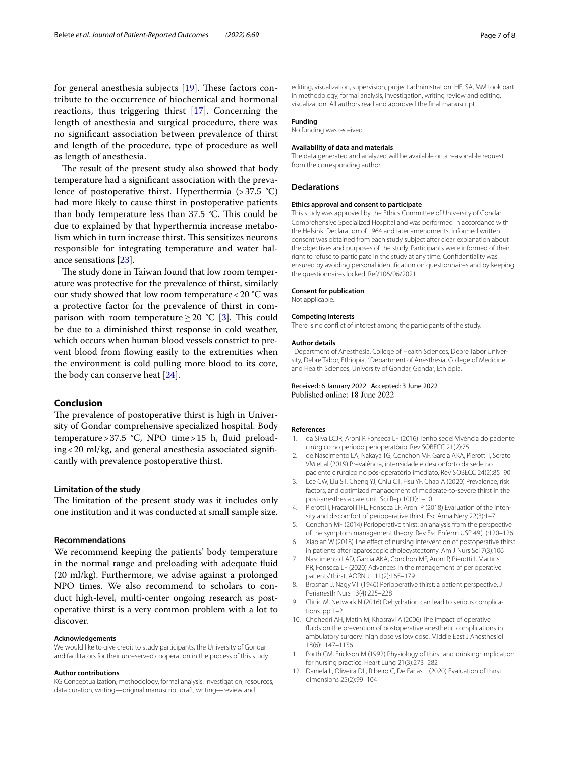for general anesthesia subjects  $[19]$  $[19]$ . These factors contribute to the occurrence of biochemical and hormonal reactions, thus triggering thirst [[17\]](#page-7-4). Concerning the length of anesthesia and surgical procedure, there was no signifcant association between prevalence of thirst and length of the procedure, type of procedure as well as length of anesthesia.

The result of the present study also showed that body temperature had a signifcant association with the prevalence of postoperative thirst. Hyperthermia  $(>37.5 \text{ °C})$ had more likely to cause thirst in postoperative patients than body temperature less than  $37.5$  °C. This could be due to explained by that hyperthermia increase metabolism which in turn increase thirst. This sensitizes neurons responsible for integrating temperature and water balance sensations [\[23](#page-7-10)].

The study done in Taiwan found that low room temperature was protective for the prevalence of thirst, similarly our study showed that low room temperature<20 °C was a protective factor for the prevalence of thirst in comparison with room temperature  $\geq$  20 °C [[3\]](#page-6-2). This could be due to a diminished thirst response in cold weather, which occurs when human blood vessels constrict to prevent blood from fowing easily to the extremities when the environment is cold pulling more blood to its core, the body can conserve heat [\[24\]](#page-7-11).

#### **Conclusion**

The prevalence of postoperative thirst is high in University of Gondar comprehensive specialized hospital. Body temperature>37.5 °C, NPO time>15 h, fuid preloading<20 ml/kg, and general anesthesia associated signifcantly with prevalence postoperative thirst.

#### **Limitation of the study**

The limitation of the present study was it includes only one institution and it was conducted at small sample size.

#### **Recommendations**

We recommend keeping the patients' body temperature in the normal range and preloading with adequate fuid (20 ml/kg). Furthermore, we advise against a prolonged NPO times. We also recommend to scholars to conduct high-level, multi-center ongoing research as postoperative thirst is a very common problem with a lot to discover.

#### **Acknowledgements**

We would like to give credit to study participants, the University of Gondar and facilitators for their unreserved cooperation in the process of this study.

#### **Author contributions**

KG Conceptualization, methodology, formal analysis, investigation, resources, data curation, writing—original manuscript draft, writing—review and

editing, visualization, supervision, project administration. HE, SA, MM took part in methodology, formal analysis, investigation, writing review and editing, visualization. All authors read and approved the fnal manuscript.

#### **Funding**

No funding was received.

#### **Availability of data and materials**

The data generated and analyzed will be available on a reasonable request from the corresponding author.

#### **Declarations**

#### **Ethics approval and consent to participate**

This study was approved by the Ethics Committee of University of Gondar Comprehensive Specialized Hospital and was performed in accordance with the Helsinki Declaration of 1964 and later amendments. Informed written consent was obtained from each study subject after clear explanation about the objectives and purposes of the study. Participants were informed of their right to refuse to participate in the study at any time. Confdentiality was ensured by avoiding personal identifcation on questionnaires and by keeping the questionnaires locked. Ref/106/06/2021.

#### **Consent for publication**

Not applicable.

#### **Competing interests**

There is no confict of interest among the participants of the study.

#### **Author details**

<sup>1</sup> Department of Anesthesia, College of Health Sciences, Debre Tabor University, Debre Tabor, Ethiopia. <sup>2</sup> Department of Anesthesia, College of Medicine and Health Sciences, University of Gondar, Gondar, Ethiopia.

Received: 6 January 2022 Accepted: 3 June 2022<br>Published online: 18 June 2022

#### **References**

- <span id="page-6-0"></span>da Silva LCJR, Aroni P, Fonseca LF (2016) Tenho sede! Vivência do paciente cirúrgico no período perioperatório. Rev SOBECC 21(2):75
- <span id="page-6-1"></span>2. de Nascimento LA, Nakaya TG, Conchon MF, Garcia AKA, Pierotti I, Serato VM et al (2019) Prevalência, intensidade e desconforto da sede no paciente cirúrgico no pós-operatório imediato. Rev SOBECC 24(2):85–90
- <span id="page-6-2"></span>3. Lee CW, Liu ST, Cheng YJ, Chiu CT, Hsu YF, Chao A (2020) Prevalence, risk factors, and optimized management of moderate-to-severe thirst in the post-anesthesia care unit. Sci Rep 10(1):1–10
- <span id="page-6-3"></span>4. Pierotti I, Fracarolli IFL, Fonseca LF, Aroni P (2018) Evaluation of the intensity and discomfort of perioperative thirst. Esc Anna Nery 22(3):1–7
- <span id="page-6-4"></span>5. Conchon MF (2014) Perioperative thirst: an analysis from the perspective of the symptom management theory. Rev Esc Enferm USP 49(1):120–126
- <span id="page-6-5"></span>6. Xiaolan W (2018) The efect of nursing intervention of postoperative thirst in patients after laparoscopic cholecystectomy. Am J Nurs Sci 7(3):106
- <span id="page-6-6"></span>7. Nascimento LAD, Garcia AKA, Conchon MF, Aroni P, Pierotti I, Martins PR, Fonseca LF (2020) Advances in the management of perioperative patients' thirst. AORN J 111(2):165–179
- <span id="page-6-7"></span>8. Brosnan J, Nagy VT (1946) Perioperative thirst: a patient perspective. J Perianesth Nurs 13(4):225–228
- <span id="page-6-8"></span>9. Clinic M, Network N (2016) Dehydration can lead to serious complications. pp 1–2
- <span id="page-6-9"></span>10. Chohedri AH, Matin M, Khosravi A (2006) The impact of operative fuids on the prevention of postoperative anesthetic complications in ambulatory surgery: high dose vs low dose. Middle East J Anesthesiol 18(6):1147–1156
- <span id="page-6-10"></span>11. Porth CM, Erickson M (1992) Physiology of thirst and drinking: implication for nursing practice. Heart Lung 21(3):273–282
- <span id="page-6-11"></span>12. Daniela L, Oliveira DL, Ribeiro C, De Farias L (2020) Evaluation of thirst dimensions 25(2):99–104